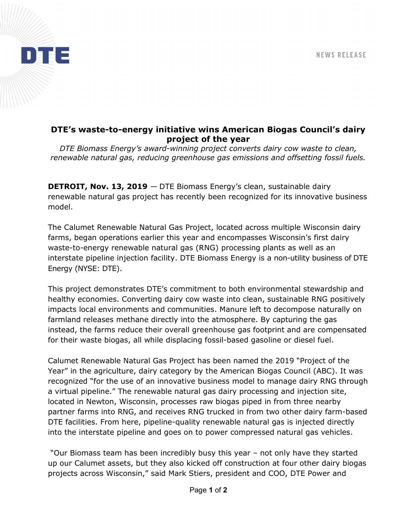

## DTE's waste-to-energy initiative wins American Biogas Council's dairy project of the year

DTE Biomass Energy's award-winning project converts dairy cow waste to clean, renewable natural gas, reducing greenhouse gas emissions and offsetting fossil fuels.

DETROIT, Nov. 13, 2019 - DTE Biomass Energy's clean, sustainable dairy renewable natural gas project has recently been recognized for its innovative business model.

The Calumet Renewable Natural Gas Project, located across multiple Wisconsin dairy farms, began operations earlier this year and encompasses Wisconsin's first dairy waste-to-energy renewable natural gas (RNG) processing plants as well as an interstate pipeline injection facility. DTE Biomass Energy is a non-utility business of DTE Energy (NYSE: DTE).

This project demonstrates DTE's commitment to both environmental stewardship and healthy economies. Converting dairy cow waste into clean, sustainable RNG positively impacts local environments and communities. Manure left to decompose naturally on farmland releases methane directly into the atmosphere. By capturing the gas instead, the farms reduce their overall greenhouse gas footprint and are compensated for their waste biogas, all while displacing fossil-based gasoline or diesel fuel.

Calumet Renewable Natural Gas Project has been named the 2019 "Project of the Year" in the agriculture, dairy category by the American Biogas Council (ABC). It was recognized "for the use of an innovative business model to manage dairy RNG through a virtual pipeline." The renewable natural gas dairy processing and injection site, located in Newton, Wisconsin, processes raw biogas piped in from three nearby partner farms into RNG, and receives RNG trucked in from two other dairy farm-based DTE facilities. From here, pipeline-quality renewable natural gas is injected directly into the interstate pipeline and goes on to power compressed natural gas vehicles.

 "Our Biomass team has been incredibly busy this year – not only have they started up our Calumet assets, but they also kicked off construction at four other dairy biogas projects across Wisconsin," said Mark Stiers, president and COO, DTE Power and